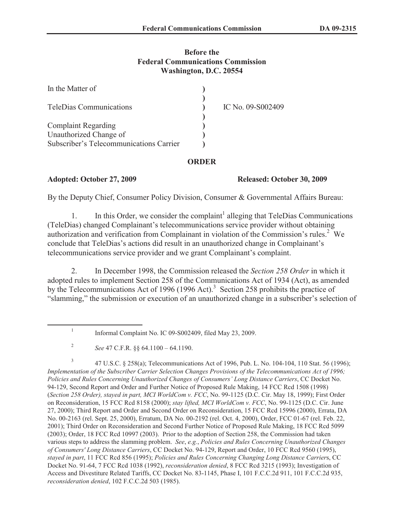# **Before the Federal Communications Commission Washington, D.C. 20554**

| In the Matter of                        |                   |
|-----------------------------------------|-------------------|
| <b>TeleDias Communications</b>          | IC No. 09-S002409 |
| <b>Complaint Regarding</b>              |                   |
| Unauthorized Change of                  |                   |
| Subscriber's Telecommunications Carrier |                   |

# **ORDER**

### **Adopted: October 27, 2009 Released: October 30, 2009**

By the Deputy Chief, Consumer Policy Division, Consumer & Governmental Affairs Bureau:

1. In this Order, we consider the complaint<sup>1</sup> alleging that TeleDias Communications (TeleDias) changed Complainant's telecommunications service provider without obtaining authorization and verification from Complainant in violation of the Commission's rules.<sup>2</sup> We conclude that TeleDias's actions did result in an unauthorized change in Complainant's telecommunications service provider and we grant Complainant's complaint.

2. In December 1998, the Commission released the *Section 258 Order* in which it adopted rules to implement Section 258 of the Communications Act of 1934 (Act), as amended by the Telecommunications Act of 1996 (1996 Act).<sup>3</sup> Section 258 prohibits the practice of "slamming," the submission or execution of an unauthorized change in a subscriber's selection of

3 47 U.S.C. § 258(a); Telecommunications Act of 1996, Pub. L. No. 104-104, 110 Stat. 56 (1996); *Implementation of the Subscriber Carrier Selection Changes Provisions of the Telecommunications Act of 1996; Policies and Rules Concerning Unauthorized Changes of Consumers' Long Distance Carriers*, CC Docket No. 94-129, Second Report and Order and Further Notice of Proposed Rule Making, 14 FCC Rcd 1508 (1998) (*Section 258 Order), stayed in part, MCI WorldCom v. FCC*, No. 99-1125 (D.C. Cir. May 18, 1999); First Order on Reconsideration, 15 FCC Rcd 8158 (2000); *stay lifted, MCI WorldCom v. FCC*, No. 99-1125 (D.C. Cir. June 27, 2000); Third Report and Order and Second Order on Reconsideration, 15 FCC Rcd 15996 (2000), Errata, DA No. 00-2163 (rel. Sept. 25, 2000), Erratum, DA No. 00-2192 (rel. Oct. 4, 2000), Order, FCC 01-67 (rel. Feb. 22, 2001); Third Order on Reconsideration and Second Further Notice of Proposed Rule Making, 18 FCC Rcd 5099 (2003); Order, 18 FCC Rcd 10997 (2003). Prior to the adoption of Section 258, the Commission had taken various steps to address the slamming problem. *See*, *e.g.*, *Policies and Rules Concerning Unauthorized Changes of Consumers' Long Distance Carriers*, CC Docket No. 94-129, Report and Order, 10 FCC Rcd 9560 (1995), *stayed in part*, 11 FCC Rcd 856 (1995); *Policies and Rules Concerning Changing Long Distance Carrier*s, CC Docket No. 91-64, 7 FCC Rcd 1038 (1992), *reconsideration denied*, 8 FCC Rcd 3215 (1993); Investigation of Access and Divestiture Related Tariffs, CC Docket No. 83-1145, Phase I, 101 F.C.C.2d 911, 101 F.C.C.2d 935, *reconsideration denied*, 102 F.C.C.2d 503 (1985).

<sup>1</sup> Informal Complaint No. IC 09-S002409, filed May 23, 2009.

<sup>2</sup> *See* 47 C.F.R. §§ 64.1100 – 64.1190.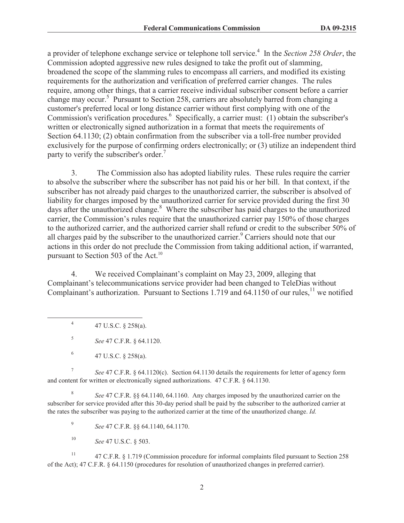a provider of telephone exchange service or telephone toll service.<sup>4</sup> In the *Section 258 Order*, the Commission adopted aggressive new rules designed to take the profit out of slamming, broadened the scope of the slamming rules to encompass all carriers, and modified its existing requirements for the authorization and verification of preferred carrier changes. The rules require, among other things, that a carrier receive individual subscriber consent before a carrier change may occur.<sup>5</sup> Pursuant to Section 258, carriers are absolutely barred from changing a customer's preferred local or long distance carrier without first complying with one of the Commission's verification procedures.<sup>6</sup> Specifically, a carrier must: (1) obtain the subscriber's written or electronically signed authorization in a format that meets the requirements of Section 64.1130; (2) obtain confirmation from the subscriber via a toll-free number provided exclusively for the purpose of confirming orders electronically; or (3) utilize an independent third party to verify the subscriber's order.<sup>7</sup>

3. The Commission also has adopted liability rules. These rules require the carrier to absolve the subscriber where the subscriber has not paid his or her bill. In that context, if the subscriber has not already paid charges to the unauthorized carrier, the subscriber is absolved of liability for charges imposed by the unauthorized carrier for service provided during the first 30 days after the unauthorized change.<sup>8</sup> Where the subscriber has paid charges to the unauthorized carrier, the Commission's rules require that the unauthorized carrier pay 150% of those charges to the authorized carrier, and the authorized carrier shall refund or credit to the subscriber 50% of all charges paid by the subscriber to the unauthorized carrier.<sup>9</sup> Carriers should note that our actions in this order do not preclude the Commission from taking additional action, if warranted, pursuant to Section 503 of the Act. $^{10}$ 

4. We received Complainant's complaint on May 23, 2009, alleging that Complainant's telecommunications service provider had been changed to TeleDias without Complainant's authorization. Pursuant to Sections 1.719 and 64.1150 of our rules,<sup>11</sup> we notified

4 47 U.S.C. § 258(a).

5 *See* 47 C.F.R. § 64.1120.

7 *See* 47 C.F.R. § 64.1120(c). Section 64.1130 details the requirements for letter of agency form and content for written or electronically signed authorizations. 47 C.F.R. § 64.1130.

8 *See* 47 C.F.R. §§ 64.1140, 64.1160. Any charges imposed by the unauthorized carrier on the subscriber for service provided after this 30-day period shall be paid by the subscriber to the authorized carrier at the rates the subscriber was paying to the authorized carrier at the time of the unauthorized change. *Id.*

9 *See* 47 C.F.R. §§ 64.1140, 64.1170.

<sup>10</sup> *See* 47 U.S.C. § 503.

<sup>11</sup> 47 C.F.R. § 1.719 (Commission procedure for informal complaints filed pursuant to Section 258 of the Act); 47 C.F.R. § 64.1150 (procedures for resolution of unauthorized changes in preferred carrier).

<sup>6</sup> 47 U.S.C. § 258(a).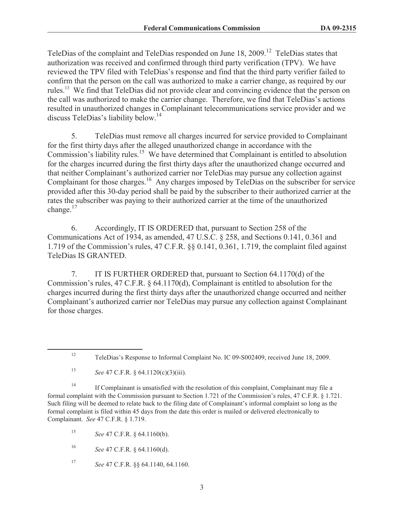TeleDias of the complaint and TeleDias responded on June 18, 2009.<sup>12</sup> TeleDias states that authorization was received and confirmed through third party verification (TPV). We have reviewed the TPV filed with TeleDias's response and find that the third party verifier failed to confirm that the person on the call was authorized to make a carrier change, as required by our rules.<sup>13</sup> We find that TeleDias did not provide clear and convincing evidence that the person on the call was authorized to make the carrier change. Therefore, we find that TeleDias's actions resulted in unauthorized changes in Complainant telecommunications service provider and we discuss TeleDias's liability below.<sup>14</sup>

5. TeleDias must remove all charges incurred for service provided to Complainant for the first thirty days after the alleged unauthorized change in accordance with the Commission's liability rules.<sup>15</sup> We have determined that Complainant is entitled to absolution for the charges incurred during the first thirty days after the unauthorized change occurred and that neither Complainant's authorized carrier nor TeleDias may pursue any collection against Complainant for those charges.<sup>16</sup> Any charges imposed by TeleDias on the subscriber for service provided after this 30-day period shall be paid by the subscriber to their authorized carrier at the rates the subscriber was paying to their authorized carrier at the time of the unauthorized change.<sup>17</sup>

6. Accordingly, IT IS ORDERED that, pursuant to Section 258 of the Communications Act of 1934, as amended, 47 U.S.C. § 258, and Sections 0.141, 0.361 and 1.719 of the Commission's rules, 47 C.F.R. §§ 0.141, 0.361, 1.719, the complaint filed against TeleDias IS GRANTED.

7. IT IS FURTHER ORDERED that, pursuant to Section 64.1170(d) of the Commission's rules, 47 C.F.R. § 64.1170(d), Complainant is entitled to absolution for the charges incurred during the first thirty days after the unauthorized change occurred and neither Complainant's authorized carrier nor TeleDias may pursue any collection against Complainant for those charges.

<sup>14</sup> If Complainant is unsatisfied with the resolution of this complaint, Complainant may file a formal complaint with the Commission pursuant to Section 1.721 of the Commission's rules, 47 C.F.R. § 1.721. Such filing will be deemed to relate back to the filing date of Complainant's informal complaint so long as the formal complaint is filed within 45 days from the date this order is mailed or delivered electronically to Complainant. *See* 47 C.F.R. § 1.719.

<sup>15</sup> *See* 47 C.F.R. § 64.1160(b).

<sup>16</sup> *See* 47 C.F.R. § 64.1160(d).

<sup>17</sup> *See* 47 C.F.R. §§ 64.1140, 64.1160.

<sup>12</sup> TeleDias's Response to Informal Complaint No. IC 09-S002409, received June 18, 2009.

<sup>13</sup> *See* 47 C.F.R. § 64.1120(c)(3)(iii).